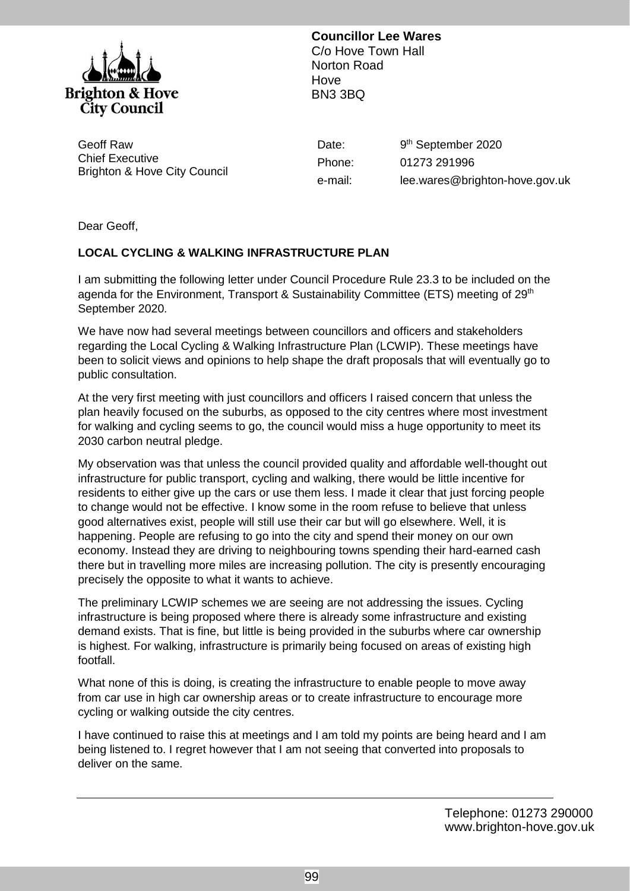

**Councillor Lee Wares** C/o Hove Town Hall Norton Road Hove BN3 3BQ

Geoff Raw Chief Executive Brighton & Hove City Council Phone: e-mail: Date: 9<sup>th</sup> September 2020 01273 291996 lee.wares@brighton-hove.gov.uk

Dear Geoff,

## **LOCAL CYCLING & WALKING INFRASTRUCTURE PLAN**

I am submitting the following letter under Council Procedure Rule 23.3 to be included on the agenda for the Environment, Transport & Sustainability Committee (ETS) meeting of 29<sup>th</sup> September 2020.

We have now had several meetings between councillors and officers and stakeholders regarding the Local Cycling & Walking Infrastructure Plan (LCWIP). These meetings have been to solicit views and opinions to help shape the draft proposals that will eventually go to public consultation.

At the very first meeting with just councillors and officers I raised concern that unless the plan heavily focused on the suburbs, as opposed to the city centres where most investment for walking and cycling seems to go, the council would miss a huge opportunity to meet its 2030 carbon neutral pledge.

My observation was that unless the council provided quality and affordable well-thought out infrastructure for public transport, cycling and walking, there would be little incentive for residents to either give up the cars or use them less. I made it clear that just forcing people to change would not be effective. I know some in the room refuse to believe that unless good alternatives exist, people will still use their car but will go elsewhere. Well, it is happening. People are refusing to go into the city and spend their money on our own economy. Instead they are driving to neighbouring towns spending their hard-earned cash there but in travelling more miles are increasing pollution. The city is presently encouraging precisely the opposite to what it wants to achieve.

The preliminary LCWIP schemes we are seeing are not addressing the issues. Cycling infrastructure is being proposed where there is already some infrastructure and existing demand exists. That is fine, but little is being provided in the suburbs where car ownership is highest. For walking, infrastructure is primarily being focused on areas of existing high footfall.

What none of this is doing, is creating the infrastructure to enable people to move away from car use in high car ownership areas or to create infrastructure to encourage more cycling or walking outside the city centres.

I have continued to raise this at meetings and I am told my points are being heard and I am being listened to. I regret however that I am not seeing that converted into proposals to deliver on the same.

> Telephone: 01273 290000 www.brighton-hove.gov.uk